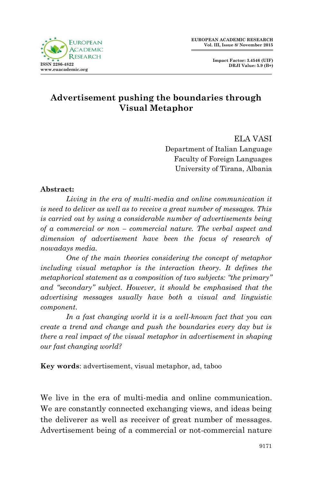

## **Advertisement pushing the boundaries through Visual Metaphor**

ELA VASI Department of Italian Language Faculty of Foreign Languages University of Tirana, Albania

## **Abstract:**

Living in the era of multi-media and online communication it *is need to deliver as well as to receive a great number of messages. This is carried out by using a considerable number of advertisements being of a commercial or non – commercial nature. The verbal aspect and dimension of advertisement have been the focus of research of nowadays media.* 

*One of the main theories considering the concept of metaphor including visual metaphor is the interaction theory. It defines the metaphorical statement as a composition of two subjects: "the primary" and "secondary" subject. However, it should be emphasised that the advertising messages usually have both a visual and linguistic component.* 

*In a fast changing world it is a well-known fact that you can create a trend and change and push the boundaries every day but is there a real impact of the visual metaphor in advertisement in shaping our fast changing world?*

**Key words**: advertisement, visual metaphor, ad, taboo

We live in the era of multi-media and online communication. We are constantly connected exchanging views, and ideas being the deliverer as well as receiver of great number of messages. Advertisement being of a commercial or not-commercial nature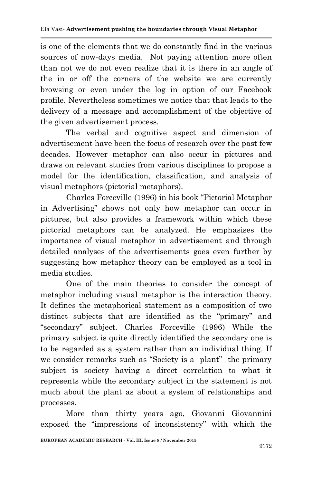is one of the elements that we do constantly find in the various sources of now-days media. Not paying attention more often than not we do not even realize that it is there in an angle of the in or off the corners of the website we are currently browsing or even under the log in option of our Facebook profile. Nevertheless sometimes we notice that that leads to the delivery of a message and accomplishment of the objective of the given advertisement process.

The verbal and cognitive aspect and dimension of advertisement have been the focus of research over the past few decades. However metaphor can also occur in pictures and draws on relevant studies from various disciplines to propose a model for the identification, classification, and analysis of visual metaphors (pictorial metaphors).

Charles Forceville (1996) in his book "Pictorial Metaphor in Advertising" shows not only how metaphor can occur in pictures, but also provides a framework within which these pictorial metaphors can be analyzed. He emphasises the importance of visual metaphor in advertisement and through detailed analyses of the advertisements goes even further by suggesting how metaphor theory can be employed as a tool in media studies.

One of the main theories to consider the concept of metaphor including visual metaphor is the interaction theory. It defines the metaphorical statement as a composition of two distinct subjects that are identified as the "primary" and "secondary" subject. Charles Forceville (1996) While the primary subject is quite directly identified the secondary one is to be regarded as a system rather than an individual thing. If we consider remarks such as "Society is a plant" the primary subject is society having a direct correlation to what it represents while the secondary subject in the statement is not much about the plant as about a system of relationships and processes.

More than thirty years ago, Giovanni Giovannini exposed the "impressions of inconsistency" with which the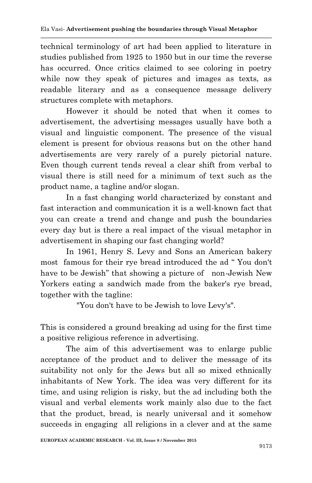technical terminology of art had been applied to literature in studies published from 1925 to 1950 but in our time the reverse has occurred. Once critics claimed to see coloring in poetry while now they speak of pictures and images as texts, as readable literary and as a consequence message delivery structures complete with metaphors.

However it should be noted that when it comes to advertisement, the advertising messages usually have both a visual and linguistic component. The presence of the visual element is present for obvious reasons but on the other hand advertisements are very rarely of a purely pictorial nature. Even though current tends reveal a clear shift from verbal to visual there is still need for a minimum of text such as the product name, a tagline and/or slogan.

In a fast changing world characterized by constant and fast interaction and communication it is a well-known fact that you can create a trend and change and push the boundaries every day but is there a real impact of the visual metaphor in advertisement in shaping our fast changing world?

In 1961, Henry S. Levy and Sons an American bakery most famous for their rye bread introduced the ad " You don't have to be Jewish" that showing a picture of non-Jewish New Yorkers eating a sandwich made from the baker's rye bread, together with the tagline:

"You don't have to be Jewish to love Levy's".

This is considered a ground breaking ad using for the first time a positive religious reference in advertising.

The aim of this advertisement was to enlarge public acceptance of the product and to deliver the message of its suitability not only for the Jews but all so mixed ethnically inhabitants of New York. The idea was very different for its time, and using religion is risky, but the ad including both the visual and verbal elements work mainly also due to the fact that the product, bread, is nearly universal and it somehow succeeds in engaging all religions in a clever and at the same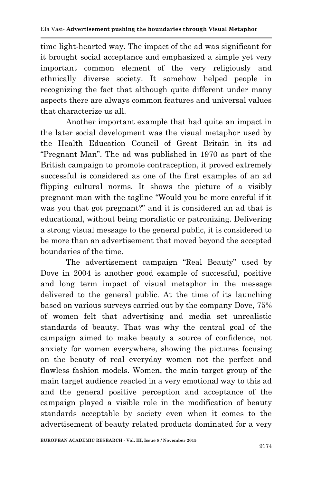time light-hearted way. The impact of the ad was significant for it brought social acceptance and emphasized a simple yet very important common element of the very religiously and ethnically diverse society. It somehow helped people in recognizing the fact that although quite different under many aspects there are always common features and universal values that characterize us all.

Another important example that had quite an impact in the later social development was the visual metaphor used by the Health Education Council of Great Britain in its ad "Pregnant Man". The ad was published in 1970 as part of the British campaign to promote contraception, it proved extremely successful is considered as one of the first examples of an ad flipping cultural norms. It shows the picture of a visibly pregnant man with the tagline "Would you be more careful if it was you that got pregnant?" and it is considered an ad that is educational, without being moralistic or patronizing. Delivering a strong visual message to the general public, it is considered to be more than an advertisement that moved beyond the accepted boundaries of the time.

The advertisement campaign "Real Beauty" used by Dove in 2004 is another good example of successful, positive and long term impact of visual metaphor in the message delivered to the general public. At the time of its launching based on various surveys carried out by the company Dove, 75% of women felt that advertising and media set unrealistic standards of beauty. That was why the central goal of the campaign aimed to make beauty a source of confidence, not anxiety for women everywhere, showing the pictures focusing on the beauty of real everyday women not the perfect and flawless fashion models. Women, the main target group of the main target audience reacted in a very emotional way to this ad and the general positive perception and acceptance of the campaign played a visible role in the modification of beauty standards acceptable by society even when it comes to the advertisement of beauty related products dominated for a very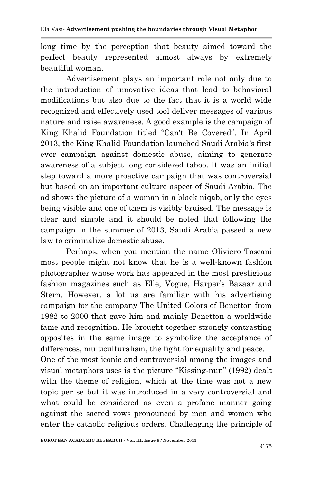long time by the perception that beauty aimed toward the perfect beauty represented almost always by extremely beautiful woman.

Advertisement plays an important role not only due to the introduction of innovative ideas that lead to behavioral modifications but also due to the fact that it is a world wide recognized and effectively used tool deliver messages of various nature and raise awareness. A good example is the campaign of King Khalid Foundation titled "Can't Be Covered". In April 2013, the King Khalid Foundation launched Saudi Arabia's first ever campaign against domestic abuse, aiming to generate awareness of a subject long considered taboo. It was an initial step toward a more proactive campaign that was controversial but based on an important culture aspect of Saudi Arabia. The ad shows the picture of a woman in a black niqab, only the eyes being visible and one of them is visibly bruised. The message is clear and simple and it should be noted that following the campaign in the summer of 2013, Saudi Arabia passed a new law to criminalize domestic abuse.

Perhaps, when you mention the name Oliviero Toscani most people might not know that he is a well-known fashion photographer whose work has appeared in the most prestigious fashion magazines such as Elle, Vogue, Harper's Bazaar and Stern. However, a lot us are familiar with his advertising campaign for the company The United Colors of Benetton from 1982 to 2000 that gave him and mainly Benetton a worldwide fame and recognition. He brought together strongly contrasting opposites in the same image to symbolize the acceptance of differences, multiculturalism, the fight for equality and peace.

One of the most iconic and controversial among the images and visual metaphors uses is the picture "Kissing-nun" (1992) dealt with the theme of religion, which at the time was not a new topic per se but it was introduced in a very controversial and what could be considered as even a profane manner going against the sacred vows pronounced by men and women who enter the catholic religious orders. Challenging the principle of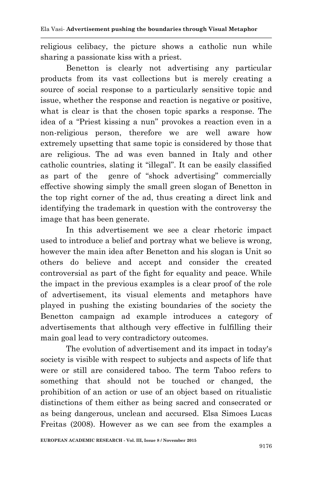religious celibacy, the picture shows a catholic nun while sharing a passionate kiss with a priest.

Benetton is clearly not advertising any particular products from its vast collections but is merely creating a source of social response to a particularly sensitive topic and issue, whether the response and reaction is negative or positive, what is clear is that the chosen topic sparks a response. The idea of a "Priest kissing a nun" provokes a reaction even in a non-religious person, therefore we are well aware how extremely upsetting that same topic is considered by those that are religious. The ad was even banned in Italy and other catholic countries, slating it "illegal". It can be easily classified as part of the genre of "shock advertising" commercially effective showing simply the small green slogan of Benetton in the top right corner of the ad, thus creating a direct link and identifying the trademark in question with the controversy the image that has been generate.

In this advertisement we see a clear rhetoric impact used to introduce a belief and portray what we believe is wrong, however the main idea after Benetton and his slogan is Unit so others do believe and accept and consider the created controversial as part of the fight for equality and peace. While the impact in the previous examples is a clear proof of the role of advertisement, its visual elements and metaphors have played in pushing the existing boundaries of the society the Benetton campaign ad example introduces a category of advertisements that although very effective in fulfilling their main goal lead to very contradictory outcomes.

The evolution of advertisement and its impact in today's society is visible with respect to subjects and aspects of life that were or still are considered taboo. The term Taboo refers to something that should not be touched or changed, the prohibition of an action or use of an object based on ritualistic distinctions of them either as being sacred and consecrated or as being dangerous, unclean and accursed. Elsa Simoes Lucas Freitas (2008). However as we can see from the examples a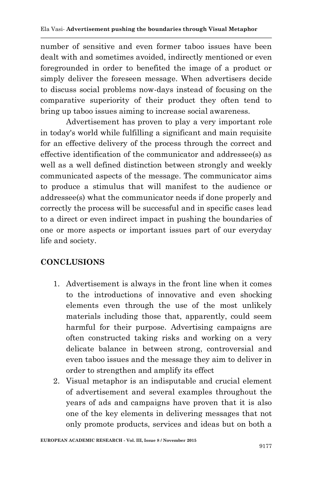number of sensitive and even former taboo issues have been dealt with and sometimes avoided, indirectly mentioned or even foregrounded in order to benefited the image of a product or simply deliver the foreseen message. When advertisers decide to discuss social problems now-days instead of focusing on the comparative superiority of their product they often tend to bring up taboo issues aiming to increase social awareness.

Advertisement has proven to play a very important role in today's world while fulfilling a significant and main requisite for an effective delivery of the process through the correct and effective identification of the communicator and addressee(s) as well as a well defined distinction between strongly and weekly communicated aspects of the message. The communicator aims to produce a stimulus that will manifest to the audience or addressee(s) what the communicator needs if done properly and correctly the process will be successful and in specific cases lead to a direct or even indirect impact in pushing the boundaries of one or more aspects or important issues part of our everyday life and society.

## **CONCLUSIONS**

- 1. Advertisement is always in the front line when it comes to the introductions of innovative and even shocking elements even through the use of the most unlikely materials including those that, apparently, could seem harmful for their purpose. Advertising campaigns are often constructed taking risks and working on a very delicate balance in between strong, controversial and even taboo issues and the message they aim to deliver in order to strengthen and amplify its effect
- 2. Visual metaphor is an indisputable and crucial element of advertisement and several examples throughout the years of ads and campaigns have proven that it is also one of the key elements in delivering messages that not only promote products, services and ideas but on both a